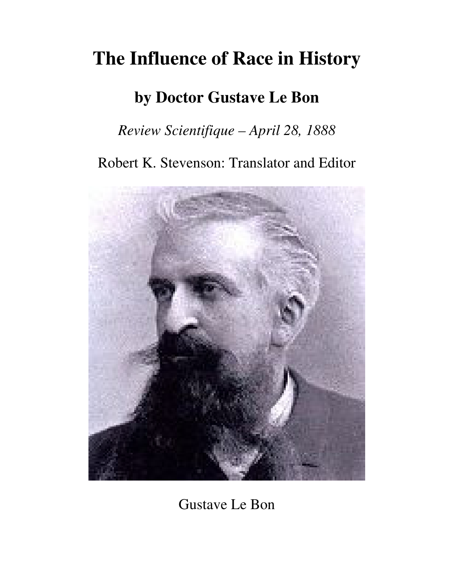# **The Influence of Race in History**

## **by Doctor Gustave Le Bon**

### *Review Scientifique – April 28, 1888*

Robert K. Stevenson: Translator and Editor



Gustave Le Bon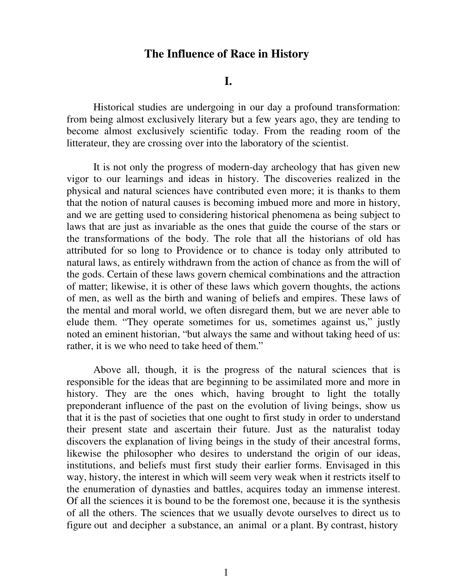#### **The Influence of Race in History**

 **I.** 

Historical studies are undergoing in our day a profound transformation: from being almost exclusively literary but a few years ago, they are tending to become almost exclusively scientific today. From the reading room of the litterateur, they are crossing over into the laboratory of the scientist.

It is not only the progress of modern-day archeology that has given new vigor to our learnings and ideas in history. The discoveries realized in the physical and natural sciences have contributed even more; it is thanks to them that the notion of natural causes is becoming imbued more and more in history, and we are getting used to considering historical phenomena as being subject to laws that are just as invariable as the ones that guide the course of the stars or the transformations of the body. The role that all the historians of old has attributed for so long to Providence or to chance is today only attributed to natural laws, as entirely withdrawn from the action of chance as from the will of the gods. Certain of these laws govern chemical combinations and the attraction of matter; likewise, it is other of these laws which govern thoughts, the actions of men, as well as the birth and waning of beliefs and empires. These laws of the mental and moral world, we often disregard them, but we are never able to elude them. "They operate sometimes for us, sometimes against us," justly noted an eminent historian, "but always the same and without taking heed of us: rather, it is we who need to take heed of them."

Above all, though, it is the progress of the natural sciences that is responsible for the ideas that are beginning to be assimilated more and more in history. They are the ones which, having brought to light the totally preponderant influence of the past on the evolution of living beings, show us that it is the past of societies that one ought to first study in order to understand their present state and ascertain their future. Just as the naturalist today discovers the explanation of living beings in the study of their ancestral forms, likewise the philosopher who desires to understand the origin of our ideas, institutions, and beliefs must first study their earlier forms. Envisaged in this way, history, the interest in which will seem very weak when it restricts itself to the enumeration of dynasties and battles, acquires today an immense interest. Of all the sciences it is bound to be the foremost one, because it is the synthesis of all the others. The sciences that we usually devote ourselves to direct us to figure out and decipher a substance, an animal or a plant. By contrast, history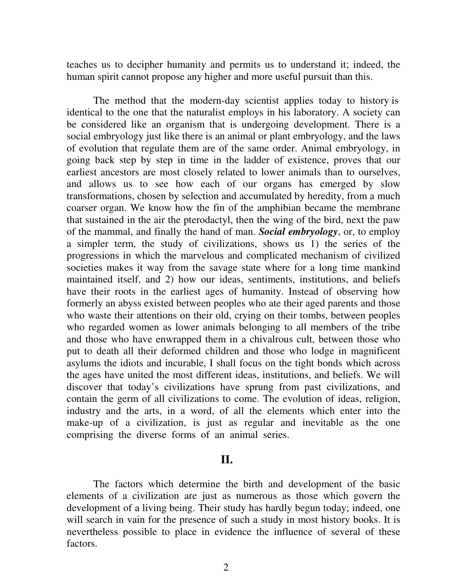teaches us to decipher humanity and permits us to understand it; indeed, the human spirit cannot propose any higher and more useful pursuit than this.

The method that the modern-day scientist applies today to history is identical to the one that the naturalist employs in his laboratory. A society can be considered like an organism that is undergoing development. There is a social embryology just like there is an animal or plant embryology, and the laws of evolution that regulate them are of the same order. Animal embryology, in going back step by step in time in the ladder of existence, proves that our earliest ancestors are most closely related to lower animals than to ourselves, and allows us to see how each of our organs has emerged by slow transformations, chosen by selection and accumulated by heredity, from a much coarser organ. We know how the fin of the amphibian became the membrane that sustained in the air the pterodactyl, then the wing of the bird, next the paw of the mammal, and finally the hand of man. *Social embryology*, or, to employ a simpler term, the study of civilizations, shows us 1) the series of the progressions in which the marvelous and complicated mechanism of civilized societies makes it way from the savage state where for a long time mankind maintained itself, and 2) how our ideas, sentiments, institutions, and beliefs have their roots in the earliest ages of humanity. Instead of observing how formerly an abyss existed between peoples who ate their aged parents and those who waste their attentions on their old, crying on their tombs, between peoples who regarded women as lower animals belonging to all members of the tribe and those who have enwrapped them in a chivalrous cult, between those who put to death all their deformed children and those who lodge in magnificent asylums the idiots and incurable, I shall focus on the tight bonds which across the ages have united the most different ideas, institutions, and beliefs. We will discover that today's civilizations have sprung from past civilizations, and contain the germ of all civilizations to come. The evolution of ideas, religion, industry and the arts, in a word, of all the elements which enter into the make-up of a civilization, is just as regular and inevitable as the one comprising the diverse forms of an animal series.

#### *II.* **II.**

The factors which determine the birth and development of the basic elements of a civilization are just as numerous as those which govern the development of a living being. Their study has hardly begun today; indeed, one will search in vain for the presence of such a study in most history books. It is nevertheless possible to place in evidence the influence of several of these factors.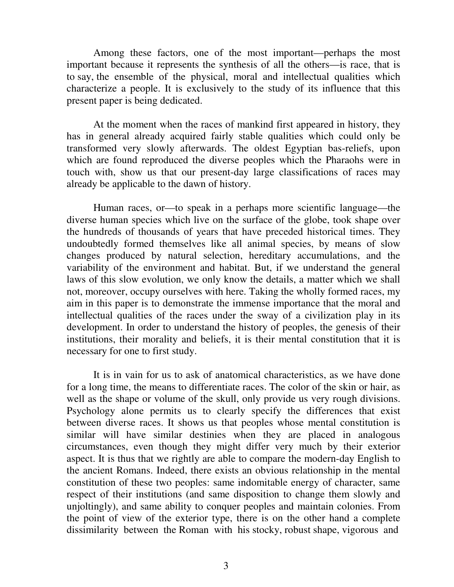Among these factors, one of the most important—perhaps the most important because it represents the synthesis of all the others—is race, that is to say, the ensemble of the physical, moral and intellectual qualities which characterize a people. It is exclusively to the study of its influence that this present paper is being dedicated.

 At the moment when the races of mankind first appeared in history, they has in general already acquired fairly stable qualities which could only be transformed very slowly afterwards. The oldest Egyptian bas-reliefs, upon which are found reproduced the diverse peoples which the Pharaohs were in touch with, show us that our present-day large classifications of races may already be applicable to the dawn of history.

 Human races, or—to speak in a perhaps more scientific language—the diverse human species which live on the surface of the globe, took shape over the hundreds of thousands of years that have preceded historical times. They undoubtedly formed themselves like all animal species, by means of slow changes produced by natural selection, hereditary accumulations, and the variability of the environment and habitat. But, if we understand the general laws of this slow evolution, we only know the details, a matter which we shall not, moreover, occupy ourselves with here. Taking the wholly formed races, my aim in this paper is to demonstrate the immense importance that the moral and intellectual qualities of the races under the sway of a civilization play in its development. In order to understand the history of peoples, the genesis of their institutions, their morality and beliefs, it is their mental constitution that it is necessary for one to first study.

 It is in vain for us to ask of anatomical characteristics, as we have done for a long time, the means to differentiate races. The color of the skin or hair, as well as the shape or volume of the skull, only provide us very rough divisions. Psychology alone permits us to clearly specify the differences that exist between diverse races. It shows us that peoples whose mental constitution is similar will have similar destinies when they are placed in analogous circumstances, even though they might differ very much by their exterior aspect. It is thus that we rightly are able to compare the modern-day English to the ancient Romans. Indeed, there exists an obvious relationship in the mental constitution of these two peoples: same indomitable energy of character, same respect of their institutions (and same disposition to change them slowly and unjoltingly), and same ability to conquer peoples and maintain colonies. From the point of view of the exterior type, there is on the other hand a complete dissimilarity between the Roman with his stocky, robust shape, vigorous and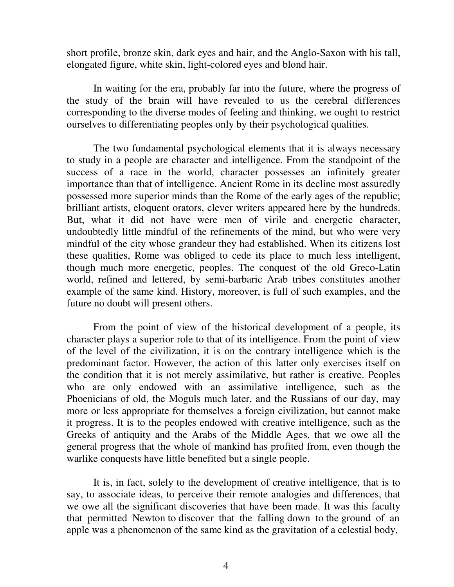short profile, bronze skin, dark eyes and hair, and the Anglo-Saxon with his tall, elongated figure, white skin, light-colored eyes and blond hair.

 In waiting for the era, probably far into the future, where the progress of the study of the brain will have revealed to us the cerebral differences corresponding to the diverse modes of feeling and thinking, we ought to restrict ourselves to differentiating peoples only by their psychological qualities.

 The two fundamental psychological elements that it is always necessary to study in a people are character and intelligence. From the standpoint of the success of a race in the world, character possesses an infinitely greater importance than that of intelligence. Ancient Rome in its decline most assuredly possessed more superior minds than the Rome of the early ages of the republic; brilliant artists, eloquent orators, clever writers appeared here by the hundreds. But, what it did not have were men of virile and energetic character, undoubtedly little mindful of the refinements of the mind, but who were very mindful of the city whose grandeur they had established. When its citizens lost these qualities, Rome was obliged to cede its place to much less intelligent, though much more energetic, peoples. The conquest of the old Greco-Latin world, refined and lettered, by semi-barbaric Arab tribes constitutes another example of the same kind. History, moreover, is full of such examples, and the future no doubt will present others.

 From the point of view of the historical development of a people, its character plays a superior role to that of its intelligence. From the point of view of the level of the civilization, it is on the contrary intelligence which is the predominant factor. However, the action of this latter only exercises itself on the condition that it is not merely assimilative, but rather is creative. Peoples who are only endowed with an assimilative intelligence, such as the Phoenicians of old, the Moguls much later, and the Russians of our day, may more or less appropriate for themselves a foreign civilization, but cannot make it progress. It is to the peoples endowed with creative intelligence, such as the Greeks of antiquity and the Arabs of the Middle Ages, that we owe all the general progress that the whole of mankind has profited from, even though the warlike conquests have little benefited but a single people.

 It is, in fact, solely to the development of creative intelligence, that is to say, to associate ideas, to perceive their remote analogies and differences, that we owe all the significant discoveries that have been made. It was this faculty that permitted Newton to discover that the falling down to the ground of an apple was a phenomenon of the same kind as the gravitation of a celestial body,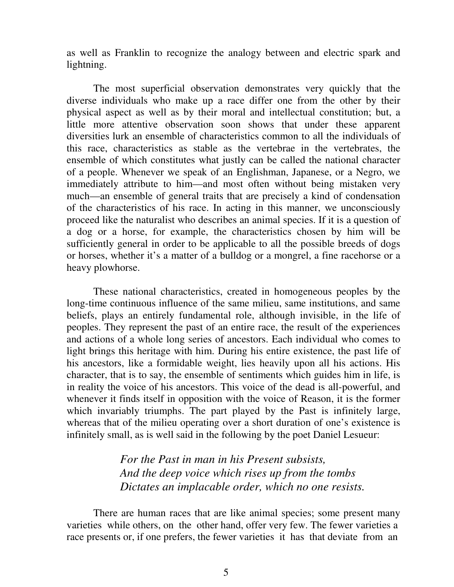as well as Franklin to recognize the analogy between and electric spark and lightning.

 The most superficial observation demonstrates very quickly that the diverse individuals who make up a race differ one from the other by their physical aspect as well as by their moral and intellectual constitution; but, a little more attentive observation soon shows that under these apparent diversities lurk an ensemble of characteristics common to all the individuals of this race, characteristics as stable as the vertebrae in the vertebrates, the ensemble of which constitutes what justly can be called the national character of a people. Whenever we speak of an Englishman, Japanese, or a Negro, we immediately attribute to him—and most often without being mistaken very much—an ensemble of general traits that are precisely a kind of condensation of the characteristics of his race. In acting in this manner, we unconsciously proceed like the naturalist who describes an animal species. If it is a question of a dog or a horse, for example, the characteristics chosen by him will be sufficiently general in order to be applicable to all the possible breeds of dogs or horses, whether it's a matter of a bulldog or a mongrel, a fine racehorse or a heavy plowhorse.

 These national characteristics, created in homogeneous peoples by the long-time continuous influence of the same milieu, same institutions, and same beliefs, plays an entirely fundamental role, although invisible, in the life of peoples. They represent the past of an entire race, the result of the experiences and actions of a whole long series of ancestors. Each individual who comes to light brings this heritage with him. During his entire existence, the past life of his ancestors, like a formidable weight, lies heavily upon all his actions. His character, that is to say, the ensemble of sentiments which guides him in life, is in reality the voice of his ancestors. This voice of the dead is all-powerful, and whenever it finds itself in opposition with the voice of Reason, it is the former which invariably triumphs. The part played by the Past is infinitely large, whereas that of the milieu operating over a short duration of one's existence is infinitely small, as is well said in the following by the poet Daniel Lesueur:

#### *For the Past in man in his Present subsists, And the deep voice which rises up from the tombs Dictates an implacable order, which no one resists.*

There are human races that are like animal species; some present many varieties while others, on the other hand, offer very few. The fewer varieties a race presents or, if one prefers, the fewer varieties it has that deviate from an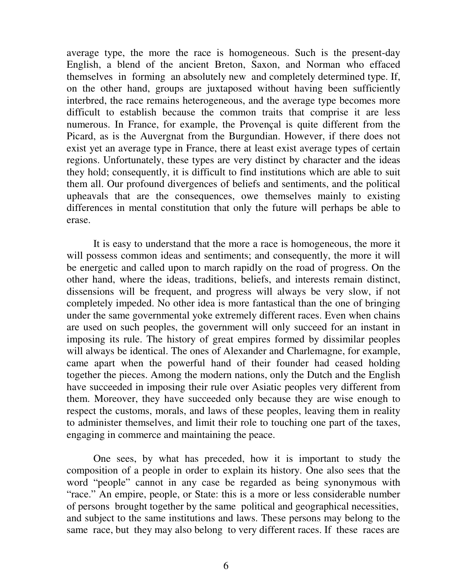average type, the more the race is homogeneous. Such is the present-day English, a blend of the ancient Breton, Saxon, and Norman who effaced themselves in forming an absolutely new and completely determined type. If, on the other hand, groups are juxtaposed without having been sufficiently interbred, the race remains heterogeneous, and the average type becomes more difficult to establish because the common traits that comprise it are less numerous. In France, for example, the Provençal is quite different from the Picard, as is the Auvergnat from the Burgundian. However, if there does not exist yet an average type in France, there at least exist average types of certain regions. Unfortunately, these types are very distinct by character and the ideas they hold; consequently, it is difficult to find institutions which are able to suit them all. Our profound divergences of beliefs and sentiments, and the political upheavals that are the consequences, owe themselves mainly to existing differences in mental constitution that only the future will perhaps be able to erase.

 It is easy to understand that the more a race is homogeneous, the more it will possess common ideas and sentiments; and consequently, the more it will be energetic and called upon to march rapidly on the road of progress. On the other hand, where the ideas, traditions, beliefs, and interests remain distinct, dissensions will be frequent, and progress will always be very slow, if not completely impeded. No other idea is more fantastical than the one of bringing under the same governmental yoke extremely different races. Even when chains are used on such peoples, the government will only succeed for an instant in imposing its rule. The history of great empires formed by dissimilar peoples will always be identical. The ones of Alexander and Charlemagne, for example, came apart when the powerful hand of their founder had ceased holding together the pieces. Among the modern nations, only the Dutch and the English have succeeded in imposing their rule over Asiatic peoples very different from them. Moreover, they have succeeded only because they are wise enough to respect the customs, morals, and laws of these peoples, leaving them in reality to administer themselves, and limit their role to touching one part of the taxes, engaging in commerce and maintaining the peace.

 One sees, by what has preceded, how it is important to study the composition of a people in order to explain its history. One also sees that the word "people" cannot in any case be regarded as being synonymous with "race." An empire, people, or State: this is a more or less considerable number of persons brought together by the same political and geographical necessities, and subject to the same institutions and laws. These persons may belong to the same race, but they may also belong to very different races. If these races are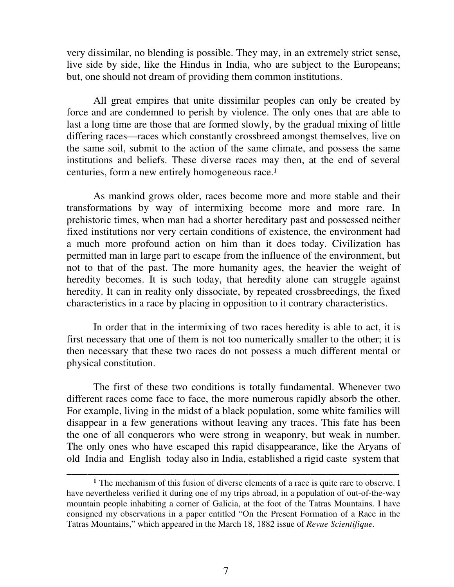very dissimilar, no blending is possible. They may, in an extremely strict sense, live side by side, like the Hindus in India, who are subject to the Europeans; but, one should not dream of providing them common institutions.

 All great empires that unite dissimilar peoples can only be created by force and are condemned to perish by violence. The only ones that are able to last a long time are those that are formed slowly, by the gradual mixing of little differing races—races which constantly crossbreed amongst themselves, live on the same soil, submit to the action of the same climate, and possess the same institutions and beliefs. These diverse races may then, at the end of several centuries, form a new entirely homogeneous race.<sup>1</sup>

 As mankind grows older, races become more and more stable and their transformations by way of intermixing become more and more rare. In prehistoric times, when man had a shorter hereditary past and possessed neither fixed institutions nor very certain conditions of existence, the environment had a much more profound action on him than it does today. Civilization has permitted man in large part to escape from the influence of the environment, but not to that of the past. The more humanity ages, the heavier the weight of heredity becomes. It is such today, that heredity alone can struggle against heredity. It can in reality only dissociate, by repeated crossbreedings, the fixed characteristics in a race by placing in opposition to it contrary characteristics.

 In order that in the intermixing of two races heredity is able to act, it is first necessary that one of them is not too numerically smaller to the other; it is then necessary that these two races do not possess a much different mental or physical constitution.

 The first of these two conditions is totally fundamental. Whenever two different races come face to face, the more numerous rapidly absorb the other. For example, living in the midst of a black population, some white families will disappear in a few generations without leaving any traces. This fate has been the one of all conquerors who were strong in weaponry, but weak in number. The only ones who have escaped this rapid disappearance, like the Aryans of old India and English today also in India, established a rigid caste system that

\_\_\_\_\_\_\_\_\_\_\_\_\_\_\_\_\_\_\_\_\_\_\_\_\_\_\_\_\_\_\_\_\_\_\_\_\_\_\_\_\_\_\_\_\_\_\_\_\_\_\_\_\_\_\_\_\_\_\_\_\_\_\_\_

<sup>&</sup>lt;sup>1</sup> The mechanism of this fusion of diverse elements of a race is quite rare to observe. I have nevertheless verified it during one of my trips abroad, in a population of out-of-the-way mountain people inhabiting a corner of Galicia, at the foot of the Tatras Mountains. I have consigned my observations in a paper entitled "On the Present Formation of a Race in the Tatras Mountains," which appeared in the March 18, 1882 issue of *Revue Scientifique*.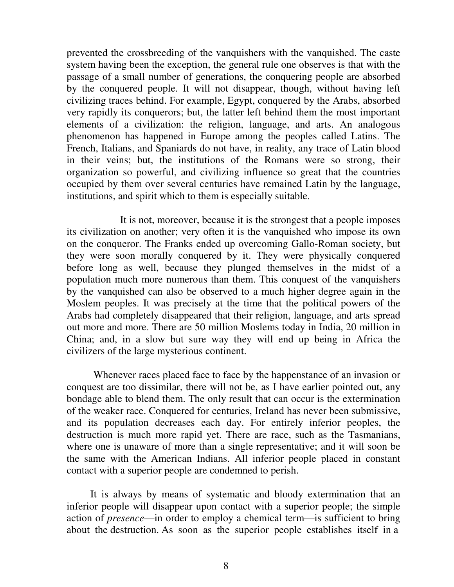prevented the crossbreeding of the vanquishers with the vanquished. The caste system having been the exception, the general rule one observes is that with the passage of a small number of generations, the conquering people are absorbed by the conquered people. It will not disappear, though, without having left civilizing traces behind. For example, Egypt, conquered by the Arabs, absorbed very rapidly its conquerors; but, the latter left behind them the most important elements of a civilization: the religion, language, and arts. An analogous phenomenon has happened in Europe among the peoples called Latins. The French, Italians, and Spaniards do not have, in reality, any trace of Latin blood in their veins; but, the institutions of the Romans were so strong, their organization so powerful, and civilizing influence so great that the countries occupied by them over several centuries have remained Latin by the language, institutions, and spirit which to them is especially suitable.

 It is not, moreover, because it is the strongest that a people imposes its civilization on another; very often it is the vanquished who impose its own on the conqueror. The Franks ended up overcoming Gallo-Roman society, but they were soon morally conquered by it. They were physically conquered before long as well, because they plunged themselves in the midst of a population much more numerous than them. This conquest of the vanquishers by the vanquished can also be observed to a much higher degree again in the Moslem peoples. It was precisely at the time that the political powers of the Arabs had completely disappeared that their religion, language, and arts spread out more and more. There are 50 million Moslems today in India, 20 million in China; and, in a slow but sure way they will end up being in Africa the civilizers of the large mysterious continent.

 Whenever races placed face to face by the happenstance of an invasion or conquest are too dissimilar, there will not be, as I have earlier pointed out, any bondage able to blend them. The only result that can occur is the extermination of the weaker race. Conquered for centuries, Ireland has never been submissive, and its population decreases each day. For entirely inferior peoples, the destruction is much more rapid yet. There are race, such as the Tasmanians, where one is unaware of more than a single representative; and it will soon be the same with the American Indians. All inferior people placed in constant contact with a superior people are condemned to perish.

 It is always by means of systematic and bloody extermination that an inferior people will disappear upon contact with a superior people; the simple action of *presence*—in order to employ a chemical term—is sufficient to bring about the destruction. As soon as the superior people establishes itself in a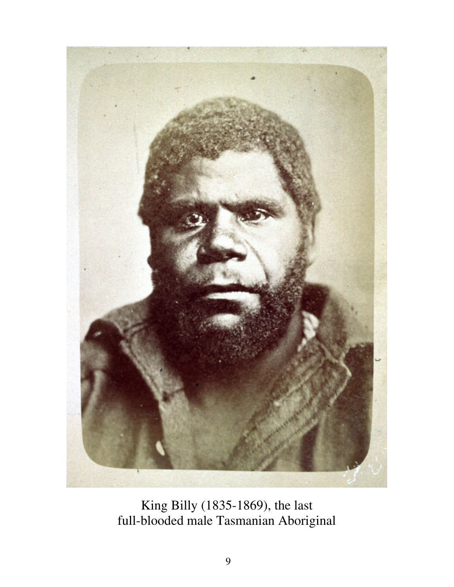

King Billy (1835-1869), the last full-blooded male Tasmanian Aboriginal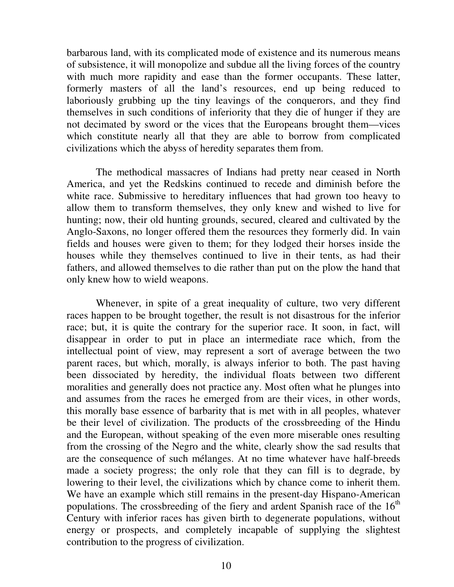barbarous land, with its complicated mode of existence and its numerous means of subsistence, it will monopolize and subdue all the living forces of the country with much more rapidity and ease than the former occupants. These latter, formerly masters of all the land's resources, end up being reduced to laboriously grubbing up the tiny leavings of the conquerors, and they find themselves in such conditions of inferiority that they die of hunger if they are not decimated by sword or the vices that the Europeans brought them—vices which constitute nearly all that they are able to borrow from complicated civilizations which the abyss of heredity separates them from.

 The methodical massacres of Indians had pretty near ceased in North America, and yet the Redskins continued to recede and diminish before the white race. Submissive to hereditary influences that had grown too heavy to allow them to transform themselves, they only knew and wished to live for hunting; now, their old hunting grounds, secured, cleared and cultivated by the Anglo-Saxons, no longer offered them the resources they formerly did. In vain fields and houses were given to them; for they lodged their horses inside the houses while they themselves continued to live in their tents, as had their fathers, and allowed themselves to die rather than put on the plow the hand that only knew how to wield weapons.

 Whenever, in spite of a great inequality of culture, two very different races happen to be brought together, the result is not disastrous for the inferior race; but, it is quite the contrary for the superior race. It soon, in fact, will disappear in order to put in place an intermediate race which, from the intellectual point of view, may represent a sort of average between the two parent races, but which, morally, is always inferior to both. The past having been dissociated by heredity, the individual floats between two different moralities and generally does not practice any. Most often what he plunges into and assumes from the races he emerged from are their vices, in other words, this morally base essence of barbarity that is met with in all peoples, whatever be their level of civilization. The products of the crossbreeding of the Hindu and the European, without speaking of the even more miserable ones resulting from the crossing of the Negro and the white, clearly show the sad results that are the consequence of such mélanges. At no time whatever have half-breeds made a society progress; the only role that they can fill is to degrade, by lowering to their level, the civilizations which by chance come to inherit them. We have an example which still remains in the present-day Hispano-American populations. The crossbreeding of the fiery and ardent Spanish race of the  $16<sup>th</sup>$ Century with inferior races has given birth to degenerate populations, without energy or prospects, and completely incapable of supplying the slightest contribution to the progress of civilization.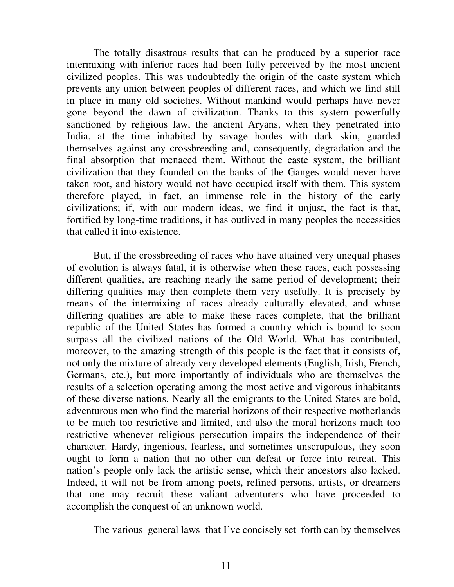The totally disastrous results that can be produced by a superior race intermixing with inferior races had been fully perceived by the most ancient civilized peoples. This was undoubtedly the origin of the caste system which prevents any union between peoples of different races, and which we find still in place in many old societies. Without mankind would perhaps have never gone beyond the dawn of civilization. Thanks to this system powerfully sanctioned by religious law, the ancient Aryans, when they penetrated into India, at the time inhabited by savage hordes with dark skin, guarded themselves against any crossbreeding and, consequently, degradation and the final absorption that menaced them. Without the caste system, the brilliant civilization that they founded on the banks of the Ganges would never have taken root, and history would not have occupied itself with them. This system therefore played, in fact, an immense role in the history of the early civilizations; if, with our modern ideas, we find it unjust, the fact is that, fortified by long-time traditions, it has outlived in many peoples the necessities that called it into existence.

 But, if the crossbreeding of races who have attained very unequal phases of evolution is always fatal, it is otherwise when these races, each possessing different qualities, are reaching nearly the same period of development; their differing qualities may then complete them very usefully. It is precisely by means of the intermixing of races already culturally elevated, and whose differing qualities are able to make these races complete, that the brilliant republic of the United States has formed a country which is bound to soon surpass all the civilized nations of the Old World. What has contributed, moreover, to the amazing strength of this people is the fact that it consists of, not only the mixture of already very developed elements (English, Irish, French, Germans, etc.), but more importantly of individuals who are themselves the results of a selection operating among the most active and vigorous inhabitants of these diverse nations. Nearly all the emigrants to the United States are bold, adventurous men who find the material horizons of their respective motherlands to be much too restrictive and limited, and also the moral horizons much too restrictive whenever religious persecution impairs the independence of their character. Hardy, ingenious, fearless, and sometimes unscrupulous, they soon ought to form a nation that no other can defeat or force into retreat. This nation's people only lack the artistic sense, which their ancestors also lacked. Indeed, it will not be from among poets, refined persons, artists, or dreamers that one may recruit these valiant adventurers who have proceeded to accomplish the conquest of an unknown world.

The various general laws that I've concisely set forth can by themselves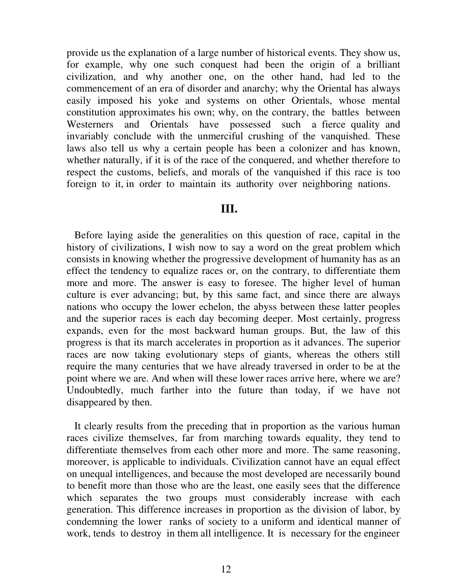provide us the explanation of a large number of historical events. They show us, for example, why one such conquest had been the origin of a brilliant civilization, and why another one, on the other hand, had led to the commencement of an era of disorder and anarchy; why the Oriental has always easily imposed his yoke and systems on other Orientals, whose mental constitution approximates his own; why, on the contrary, the battles between Westerners and Orientals have possessed such a fierce quality and invariably conclude with the unmerciful crushing of the vanquished. These laws also tell us why a certain people has been a colonizer and has known, whether naturally, if it is of the race of the conquered, and whether therefore to respect the customs, beliefs, and morals of the vanquished if this race is too foreign to it, in order to maintain its authority over neighboring nations.

#### **III.**

Before laying aside the generalities on this question of race, capital in the history of civilizations, I wish now to say a word on the great problem which consists in knowing whether the progressive development of humanity has as an effect the tendency to equalize races or, on the contrary, to differentiate them more and more. The answer is easy to foresee. The higher level of human culture is ever advancing; but, by this same fact, and since there are always nations who occupy the lower echelon, the abyss between these latter peoples and the superior races is each day becoming deeper. Most certainly, progress expands, even for the most backward human groups. But, the law of this progress is that its march accelerates in proportion as it advances. The superior races are now taking evolutionary steps of giants, whereas the others still require the many centuries that we have already traversed in order to be at the point where we are. And when will these lower races arrive here, where we are? Undoubtedly, much farther into the future than today, if we have not disappeared by then.

 It clearly results from the preceding that in proportion as the various human races civilize themselves, far from marching towards equality, they tend to differentiate themselves from each other more and more. The same reasoning, moreover, is applicable to individuals. Civilization cannot have an equal effect on unequal intelligences, and because the most developed are necessarily bound to benefit more than those who are the least, one easily sees that the difference which separates the two groups must considerably increase with each generation. This difference increases in proportion as the division of labor, by condemning the lower ranks of society to a uniform and identical manner of work, tends to destroy in them all intelligence. It is necessary for the engineer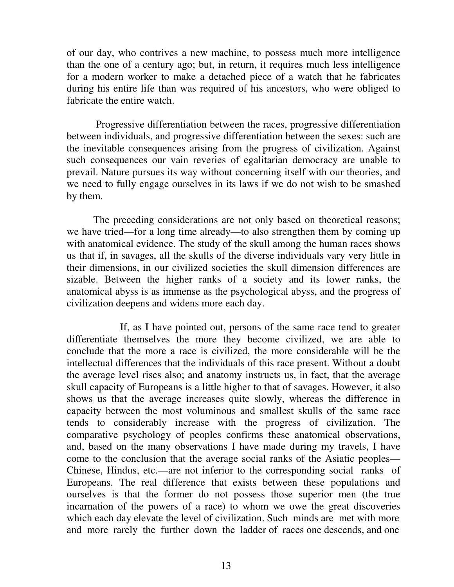of our day, who contrives a new machine, to possess much more intelligence than the one of a century ago; but, in return, it requires much less intelligence for a modern worker to make a detached piece of a watch that he fabricates during his entire life than was required of his ancestors, who were obliged to fabricate the entire watch.

 Progressive differentiation between the races, progressive differentiation between individuals, and progressive differentiation between the sexes: such are the inevitable consequences arising from the progress of civilization. Against such consequences our vain reveries of egalitarian democracy are unable to prevail. Nature pursues its way without concerning itself with our theories, and we need to fully engage ourselves in its laws if we do not wish to be smashed by them.

 The preceding considerations are not only based on theoretical reasons; we have tried—for a long time already—to also strengthen them by coming up with anatomical evidence. The study of the skull among the human races shows us that if, in savages, all the skulls of the diverse individuals vary very little in their dimensions, in our civilized societies the skull dimension differences are sizable. Between the higher ranks of a society and its lower ranks, the anatomical abyss is as immense as the psychological abyss, and the progress of civilization deepens and widens more each day.

 If, as I have pointed out, persons of the same race tend to greater differentiate themselves the more they become civilized, we are able to conclude that the more a race is civilized, the more considerable will be the intellectual differences that the individuals of this race present. Without a doubt the average level rises also; and anatomy instructs us, in fact, that the average skull capacity of Europeans is a little higher to that of savages. However, it also shows us that the average increases quite slowly, whereas the difference in capacity between the most voluminous and smallest skulls of the same race tends to considerably increase with the progress of civilization. The comparative psychology of peoples confirms these anatomical observations, and, based on the many observations I have made during my travels, I have come to the conclusion that the average social ranks of the Asiatic peoples— Chinese, Hindus, etc.—are not inferior to the corresponding social ranks of Europeans. The real difference that exists between these populations and ourselves is that the former do not possess those superior men (the true incarnation of the powers of a race) to whom we owe the great discoveries which each day elevate the level of civilization. Such minds are met with more and more rarely the further down the ladder of races one descends, and one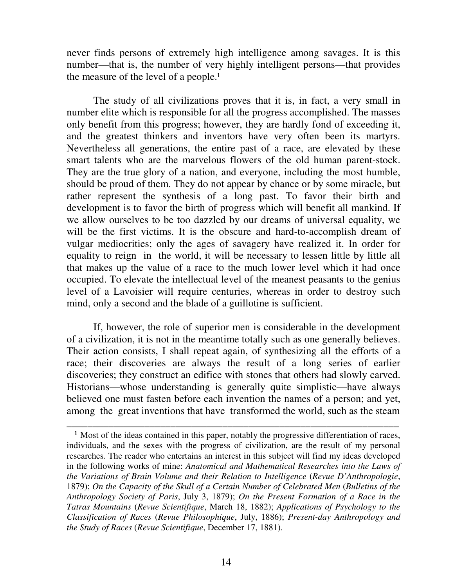never finds persons of extremely high intelligence among savages. It is this number—that is, the number of very highly intelligent persons—that provides the measure of the level of a people.<sup>1</sup>

 The study of all civilizations proves that it is, in fact, a very small in number elite which is responsible for all the progress accomplished. The masses only benefit from this progress; however, they are hardly fond of exceeding it, and the greatest thinkers and inventors have very often been its martyrs. Nevertheless all generations, the entire past of a race, are elevated by these smart talents who are the marvelous flowers of the old human parent-stock. They are the true glory of a nation, and everyone, including the most humble, should be proud of them. They do not appear by chance or by some miracle, but rather represent the synthesis of a long past. To favor their birth and development is to favor the birth of progress which will benefit all mankind. If we allow ourselves to be too dazzled by our dreams of universal equality, we will be the first victims. It is the obscure and hard-to-accomplish dream of vulgar mediocrities; only the ages of savagery have realized it. In order for equality to reign in the world, it will be necessary to lessen little by little all that makes up the value of a race to the much lower level which it had once occupied. To elevate the intellectual level of the meanest peasants to the genius level of a Lavoisier will require centuries, whereas in order to destroy such mind, only a second and the blade of a guillotine is sufficient.

 If, however, the role of superior men is considerable in the development of a civilization, it is not in the meantime totally such as one generally believes. Their action consists, I shall repeat again, of synthesizing all the efforts of a race; their discoveries are always the result of a long series of earlier discoveries; they construct an edifice with stones that others had slowly carved. Historians—whose understanding is generally quite simplistic—have always believed one must fasten before each invention the names of a person; and yet, among the great inventions that have transformed the world, such as the steam

\_\_\_\_\_\_\_\_\_\_\_\_\_\_\_\_\_\_\_\_\_\_\_\_\_\_\_\_\_\_\_\_\_\_\_\_\_\_\_\_\_\_\_\_\_\_\_\_\_\_\_\_\_\_\_\_\_\_\_\_\_\_\_\_

<sup>&</sup>lt;sup>1</sup> Most of the ideas contained in this paper, notably the progressive differentiation of races, individuals, and the sexes with the progress of civilization, are the result of my personal researches. The reader who entertains an interest in this subject will find my ideas developed in the following works of mine: *Anatomical and Mathematical Researches into the Laws of the Variations of Brain Volume and their Relation to Intelligence* (*Revue D'Anthropologie*, 1879); *On the Capacity of the Skull of a Certain Number of Celebrated Men* (*Bulletins of the Anthropology Society of Paris*, July 3, 1879); *On the Present Formation of a Race in the Tatras Mountains* (*Revue Scientifique*, March 18, 1882); *Applications of Psychology to the Classification of Races* (*Revue Philosophique*, July, 1886); *Present-day Anthropology and the Study of Races* (*Revue Scientifique*, December 17, 1881).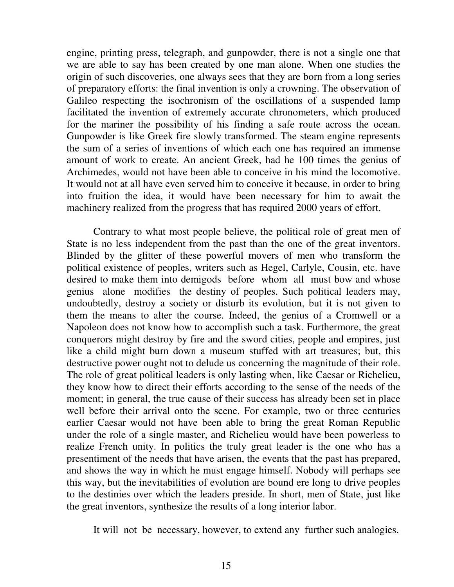engine, printing press, telegraph, and gunpowder, there is not a single one that we are able to say has been created by one man alone. When one studies the origin of such discoveries, one always sees that they are born from a long series of preparatory efforts: the final invention is only a crowning. The observation of Galileo respecting the isochronism of the oscillations of a suspended lamp facilitated the invention of extremely accurate chronometers, which produced for the mariner the possibility of his finding a safe route across the ocean. Gunpowder is like Greek fire slowly transformed. The steam engine represents the sum of a series of inventions of which each one has required an immense amount of work to create. An ancient Greek, had he 100 times the genius of Archimedes, would not have been able to conceive in his mind the locomotive. It would not at all have even served him to conceive it because, in order to bring into fruition the idea, it would have been necessary for him to await the machinery realized from the progress that has required 2000 years of effort.

 Contrary to what most people believe, the political role of great men of State is no less independent from the past than the one of the great inventors. Blinded by the glitter of these powerful movers of men who transform the political existence of peoples, writers such as Hegel, Carlyle, Cousin, etc. have desired to make them into demigods before whom all must bow and whose genius alone modifies the destiny of peoples. Such political leaders may, undoubtedly, destroy a society or disturb its evolution, but it is not given to them the means to alter the course. Indeed, the genius of a Cromwell or a Napoleon does not know how to accomplish such a task. Furthermore, the great conquerors might destroy by fire and the sword cities, people and empires, just like a child might burn down a museum stuffed with art treasures; but, this destructive power ought not to delude us concerning the magnitude of their role. The role of great political leaders is only lasting when, like Caesar or Richelieu, they know how to direct their efforts according to the sense of the needs of the moment; in general, the true cause of their success has already been set in place well before their arrival onto the scene. For example, two or three centuries earlier Caesar would not have been able to bring the great Roman Republic under the role of a single master, and Richelieu would have been powerless to realize French unity. In politics the truly great leader is the one who has a presentiment of the needs that have arisen, the events that the past has prepared, and shows the way in which he must engage himself. Nobody will perhaps see this way, but the inevitabilities of evolution are bound ere long to drive peoples to the destinies over which the leaders preside. In short, men of State, just like the great inventors, synthesize the results of a long interior labor.

It will not be necessary, however, to extend any further such analogies.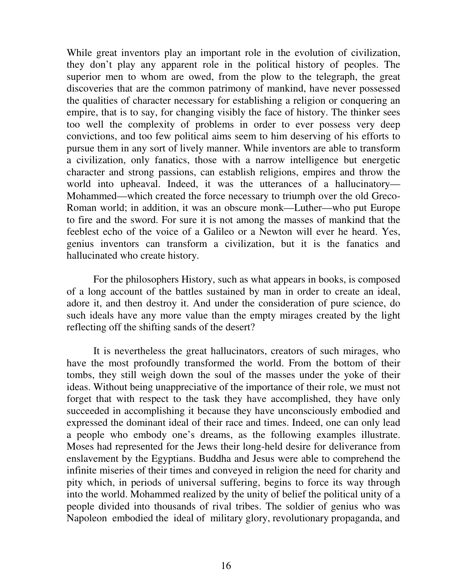While great inventors play an important role in the evolution of civilization, they don't play any apparent role in the political history of peoples. The superior men to whom are owed, from the plow to the telegraph, the great discoveries that are the common patrimony of mankind, have never possessed the qualities of character necessary for establishing a religion or conquering an empire, that is to say, for changing visibly the face of history. The thinker sees too well the complexity of problems in order to ever possess very deep convictions, and too few political aims seem to him deserving of his efforts to pursue them in any sort of lively manner. While inventors are able to transform a civilization, only fanatics, those with a narrow intelligence but energetic character and strong passions, can establish religions, empires and throw the world into upheaval. Indeed, it was the utterances of a hallucinatory— Mohammed—which created the force necessary to triumph over the old Greco-Roman world; in addition, it was an obscure monk—Luther—who put Europe to fire and the sword. For sure it is not among the masses of mankind that the feeblest echo of the voice of a Galileo or a Newton will ever he heard. Yes, genius inventors can transform a civilization, but it is the fanatics and hallucinated who create history.

 For the philosophers History, such as what appears in books, is composed of a long account of the battles sustained by man in order to create an ideal, adore it, and then destroy it. And under the consideration of pure science, do such ideals have any more value than the empty mirages created by the light reflecting off the shifting sands of the desert?

 It is nevertheless the great hallucinators, creators of such mirages, who have the most profoundly transformed the world. From the bottom of their tombs, they still weigh down the soul of the masses under the yoke of their ideas. Without being unappreciative of the importance of their role, we must not forget that with respect to the task they have accomplished, they have only succeeded in accomplishing it because they have unconsciously embodied and expressed the dominant ideal of their race and times. Indeed, one can only lead a people who embody one's dreams, as the following examples illustrate. Moses had represented for the Jews their long-held desire for deliverance from enslavement by the Egyptians. Buddha and Jesus were able to comprehend the infinite miseries of their times and conveyed in religion the need for charity and pity which, in periods of universal suffering, begins to force its way through into the world. Mohammed realized by the unity of belief the political unity of a people divided into thousands of rival tribes. The soldier of genius who was Napoleon embodied the ideal of military glory, revolutionary propaganda, and